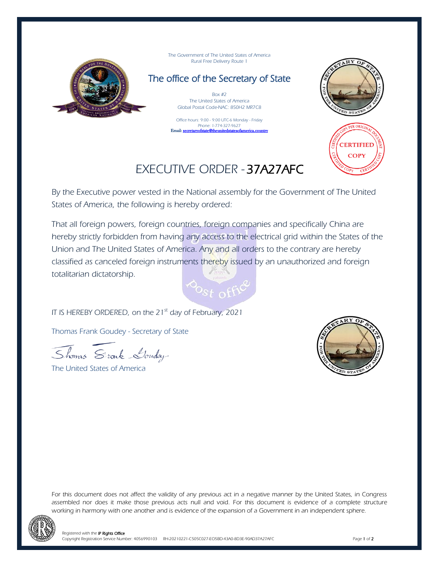

The Government of The United States of America Rural Free Delivery Route 1

The office of the Secretary of State

Box #2 The United States of America Global Postal Code-NAC: 850H2 MR7C8

Office hours: 9:00 - 9:00 UTC-6 Monday - Friday Phone: 1-774-327-9627 Email: secretaryofstate@theunitedstatesofamerica.country





## EXECUTIVE ORDER - 37A27AFC

By the Executive power vested in the National assembly for the Government of The United States of America, the following is hereby ordered:

That all foreign powers, foreign countries, foreign companies and specifically China are hereby strictly forbidden from having any access to the electrical grid within the States of the Union and The United States of America. Any and all orders to the contrary are hereby classified as canceled foreign instruments thereby issued by an unauthorized and foreign totalitarian dictatorship.



IT IS HEREBY ORDERED, on the 21<sup>st</sup> day of February, 2021

Thomas Frank Goudey - Secretary of State

Thomas Stonk Louday

The United States of America



For this document does not affect the validity of any previous act in a negative manner by the United States, in Congress assembled nor does it make those previous acts null and void. For this document is evidence of a complete structure working in harmony with one another and is evidence of the expansion of a Government in an independent sphere.